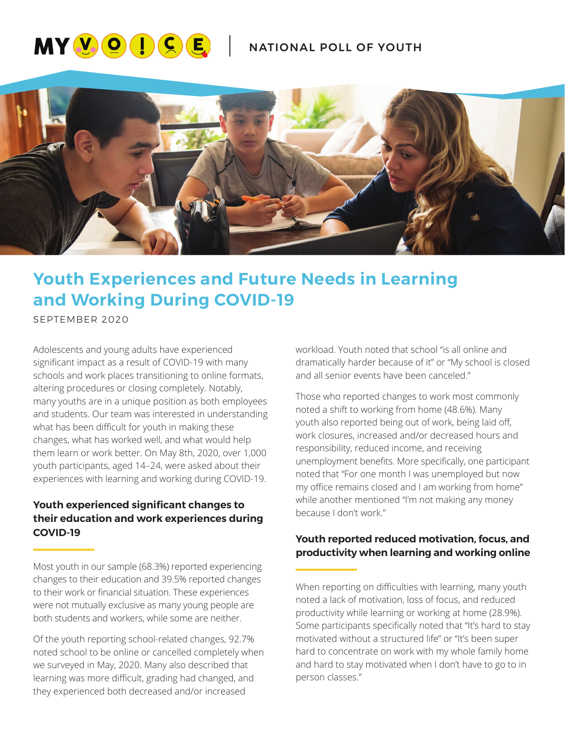# **MYVOICE** NATIONAL POLL OF YOUTH



# **Youth Experiences and Future Needs in Learning and Working During COVID-19**

SEPTEMBER 2020

Adolescents and young adults have experienced significant impact as a result of COVID-19 with many schools and work places transitioning to online formats, altering procedures or closing completely. Notably, many youths are in a unique position as both employees and students. Our team was interested in understanding what has been difficult for youth in making these changes, what has worked well, and what would help them learn or work better. On May 8th, 2020, over 1,000 youth participants, aged 14–24, were asked about their experiences with learning and working during COVID-19.

# **Youth experienced significant changes to their education and work experiences during COVID-19**

Most youth in our sample (68.3%) reported experiencing changes to their education and 39.5% reported changes to their work or financial situation. These experiences were not mutually exclusive as many young people are both students and workers, while some are neither.

Of the youth reporting school-related changes, 92.7% noted school to be online or cancelled completely when we surveyed in May, 2020. Many also described that learning was more difficult, grading had changed, and they experienced both decreased and/or increased

workload. Youth noted that school "is all online and dramatically harder because of it" or "My school is closed and all senior events have been canceled."

Those who reported changes to work most commonly noted a shift to working from home (48.6%). Many youth also reported being out of work, being laid off, work closures, increased and/or decreased hours and responsibility, reduced income, and receiving unemployment benefits. More specifically, one participant noted that "For one month I was unemployed but now my office remains closed and I am working from home" while another mentioned "I'm not making any money because I don't work."

# **Youth reported reduced motivation, focus, and productivity when learning and working online**

When reporting on difficulties with learning, many youth noted a lack of motivation, loss of focus, and reduced productivity while learning or working at home (28.9%). Some participants specifically noted that "It's hard to stay motivated without a structured life" or "It's been super hard to concentrate on work with my whole family home and hard to stay motivated when I don't have to go to in person classes."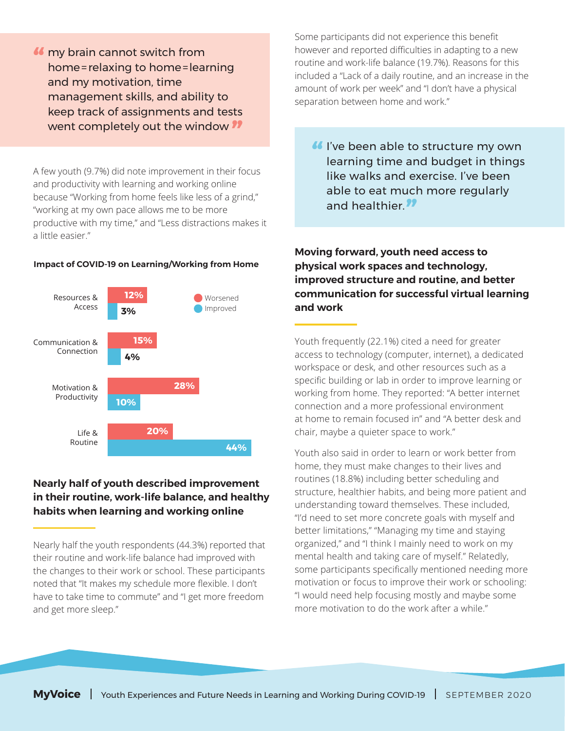my brain cannot switch from **"** home=relaxing to home=learning and my motivation, time management skills, and ability to keep track of assignments and tests went completely out the window **"**

A few youth (9.7%) did note improvement in their focus and productivity with learning and working online because "Working from home feels like less of a grind," "working at my own pace allows me to be more productive with my time," and "Less distractions makes it a little easier."

#### **Impact of COVID-19 on Learning/Working from Home**



## **Nearly half of youth described improvement in their routine, work-life balance, and healthy habits when learning and working online**

Nearly half the youth respondents (44.3%) reported that their routine and work-life balance had improved with the changes to their work or school. These participants noted that "It makes my schedule more flexible. I don't have to take time to commute" and "I get more freedom and get more sleep."

Some participants did not experience this benefit however and reported difficulties in adapting to a new routine and work-life balance (19.7%). Reasons for this included a "Lack of a daily routine, and an increase in the amount of work per week" and "I don't have a physical separation between home and work."

I've been able to structure my own **"** learning time and budget in things like walks and exercise. I've been able to eat much more regularly and healthier. **"**

**Moving forward, youth need access to physical work spaces and technology, improved structure and routine, and better communication for successful virtual learning and work**

Youth frequently (22.1%) cited a need for greater access to technology (computer, internet), a dedicated workspace or desk, and other resources such as a specific building or lab in order to improve learning or working from home. They reported: "A better internet connection and a more professional environment at home to remain focused in" and "A better desk and chair, maybe a quieter space to work."

Youth also said in order to learn or work better from home, they must make changes to their lives and routines (18.8%) including better scheduling and structure, healthier habits, and being more patient and understanding toward themselves. These included, "I'd need to set more concrete goals with myself and better limitations," "Managing my time and staying organized," and "I think I mainly need to work on my mental health and taking care of myself." Relatedly, some participants specifically mentioned needing more motivation or focus to improve their work or schooling: "I would need help focusing mostly and maybe some more motivation to do the work after a while."